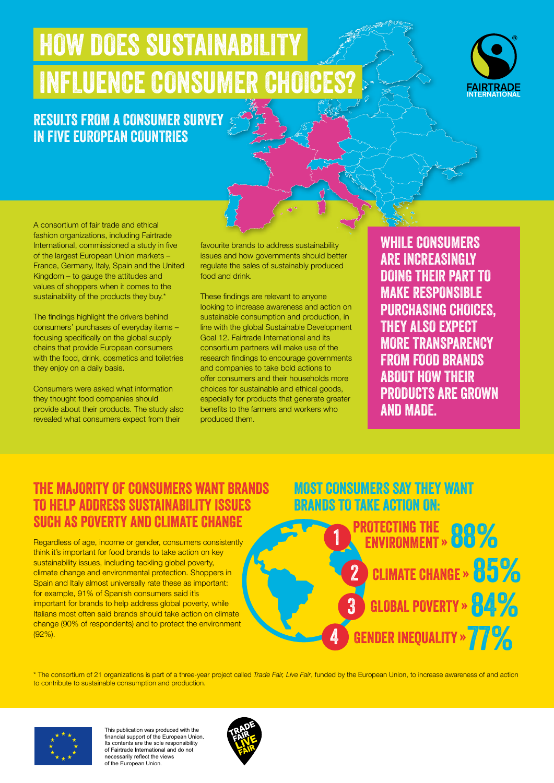# HOW DOES SUSTAINABILITY INFLUENCE CONSUMER CI



RESULTS FROM A CONSUMER SURVEY IN FIVE EUROPEAN COUNTRIES

A consortium of fair trade and ethical fashion organizations, including Fairtrade International, commissioned a study in five of the largest European Union markets – France, Germany, Italy, Spain and the United Kingdom – to gauge the attitudes and values of shoppers when it comes to the sustainability of the products they buy.<sup>\*</sup>

The findings highlight the drivers behind consumers' purchases of everyday items – focusing specifically on the global supply chains that provide European consumers with the food, drink, cosmetics and toiletries they enjoy on a daily basis.

Consumers were asked what information they thought food companies should provide about their products. The study also revealed what consumers expect from their

favourite brands to address sustainability issues and how governments should better regulate the sales of sustainably produced food and drink.

These findings are relevant to anyone looking to increase awareness and action on sustainable consumption and production, in line with the global Sustainable Development Goal 12. Fairtrade International and its consortium partners will make use of the research findings to encourage governments and companies to take bold actions to offer consumers and their households more choices for sustainable and ethical goods, especially for products that generate greater benefits to the farmers and workers who produced them.

WHILE CONSUMERS ARE INCREASINGLY DOING THEIR PART TO MAKE RESPONSIBLE PURCHASING CHOICES, THEY ALSO EXPECT MORE TRANSPARENCY FROM FOOD BRANDS ABOUT HOW THEIR PRODUCTS ARE GROWN AND MADE.

#### THE MAJORITY OF CONSUMERS WANT BRANDS TO HELP ADDRESS SUSTAINABILITY ISSUES SUCH AS POVERTY AND CLIMATE CHANGE

Regardless of age, income or gender, consumers consistently think it's important for food brands to take action on key sustainability issues, including tackling global poverty, climate change and environmental protection. Shoppers in Spain and Italy almost universally rate these as important: for example, 91% of Spanish consumers said it's important for brands to help address global poverty, while Italians most often said brands should take action on climate change (90% of respondents) and to protect the environment (92%).

## MOST CONSUMERS SAY THEY WANT BRANDS TO TAKE ACTION ON:



\* The consortium of 21 organizations is part of a three-year project called *Trade Fair, Live Fair*, funded by the European Union, to increase awareness of and action to contribute to sustainable consumption and production.



This publication was produced with the financial support of the European Union. Its contents are the sole responsibility of Fairtrade International and do not necessarily reflect the views of the European Union.